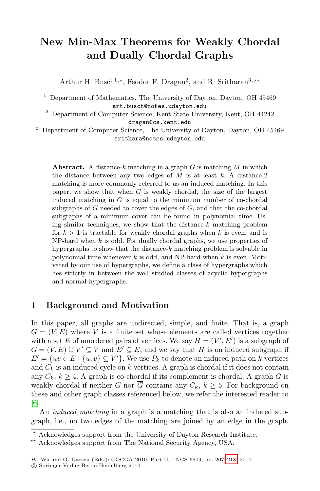# **New Min-Max Theorems for Weakly Chordal and Dually Chordal Graphs**

Arthur H. Busch<sup>1,\*</sup>, Feodor F. Dragan<sup>2</sup>, and R. Sritharan<sup>3,\*\*</sup>

<sup>1</sup> Department of Mathematics, The University of Dayton, Dayton, OH 45469 art.busch@notes.udayton.edu

<sup>2</sup> Department of Computer Science, Kent State University, Kent, OH 44242 dragan@cs.kent.edu

<sup>3</sup> Department of Computer Science, The University of Dayton, Dayton, OH 45469 srithara@notes.udayton.edu

**Abstract.** A distance-*<sup>k</sup>* matching in a graph *<sup>G</sup>* is matching *<sup>M</sup>* in which the distance between any two edges of *M* is at least *k*. A distance-2 matching is more commonly referred to as an induced matching. In this paper, we show that when *G* is weakly chordal, the size of the largest induced matching in *G* is equal to the minimum number of co-chordal subgraphs of *G* needed to cover the edges of *G*, and that the co-chordal subgraphs of a minimum cover can be found in polynomial time. Using similar techniques, we show that the distance-*k* matching problem for  $k > 1$  is tractable for weakly chordal graphs when k is even, and is NP-hard when *k* is odd. For dually chordal graphs, we use properties of hypergraphs to show that the distance-*k* matching problem is solvable in polynomial time whenever *k* is odd, and NP-hard when *k* is even. Motivated by our use of hypergraphs, we define a class of hypergraphs which lies strictly in between the well studied classes of acyclic hypergraphs and normal hypergraphs.

## **1 Background and Motivation**

In this paper, all graphs are undirected, simple, and finite. That is, a graph  $G = (V, E)$  where V is a finite set whose elements are called vertices together with a set E of unordered pairs of vertices. We say  $H = (V', E')$  is a subgraph of  $G = (V, E)$  if  $V' \subseteq V$  and  $E' \subseteq E$ , and we say that H is an induced subgraph if  $E' = \{uv \in E \mid \{u, v\} \subseteq V'\}.$  We use  $P_k$  to denote an induced path on k vertices and  $C_k$  is an induced cycle on k vertices. A graph is chordal if it does not contain any  $C_k$ ,  $k \geq 4$ . A graph is co-chordal if its complement is chordal. A graph G is weakly chordal if neither G nor  $\overline{G}$  contains any  $C_k$ ,  $k \geq 5$ . For background on these and other graph classes referenced [below](#page-11-0), we refer the interested reader to [6].

An *induced matching* in a graph is a matching that is also an induced subgraph, i.e., no two edges of the matching are joined by an edge in the graph.

<sup>-</sup> Acknowledges support from the University of Dayton Research Institute.

<sup>\*\*</sup> Acknowledges support from The National Security Agency, USA.

W. Wu and O. Daescu (Eds.): COCOA 2010, Part II, LNCS 6509, pp. 207–218, 2010. c Springer-Verlag Berlin Heidelberg 2010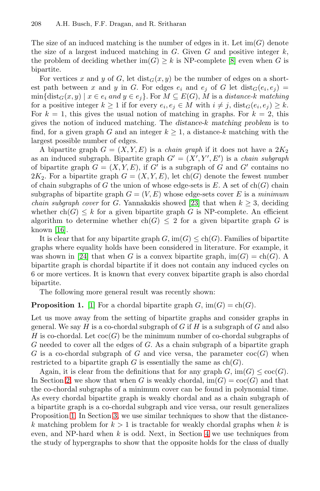The size of an induced matching is the number of edges in it. Let  $\text{im}(G)$  denote the size of a largest induced matching in  $G$ . Given  $G$  and positive integer  $k$ , the problem of deciding whether  $\text{im}(G) \geq k$  is NP-complete [8] even when G is bipartite.

For vertices x and y of G, let  $dist_G(x, y)$  be the number of edges on a shortest path between x and y in G. For edges  $e_i$  and  $e_j$  of G let  $dist_G(e_i, e_j)$  $\min{\{\text{dist}_G(x, y) \mid x \in e_i \text{ and } y \in e_j\}}.$  For  $M \subseteq E(G)$ , M is a *distance-k matching* for a positive integer  $k \geq 1$  if for every  $e_i, e_j \in M$  with  $i \neq j$ ,  $dist_G(e_i, e_j) \geq k$ . For  $k = 1$ , this gives the usual notion of matching in graphs. For  $k = 2$ , this gives the notion of induced matching. The *distance-*k *matching problem* is to find, for a given graph G [an](#page-11-1)d an integer  $k \geq 1$ , a distance-k matching with the largest possible number of edges.

A bipartite graph  $G = (X, Y, E)$  is a *chain graph* if it does not have a  $2K_2$ as an induced subgraph. Bipartite graph  $G' = (X', Y', E')$  is a *chain subgraph* of bipartite graph  $G = (X, Y, E)$ , if G' is a subgraph of G and G' contains no  $2K_2$ . For a bipartite graph  $G = (X, Y, E)$ , let ch(G) denote the fewest number of chain subgraphs of  $G$  the union of whose edge-sets is  $E$ . A set of  $ch(G)$  chain subgraphs of bipartite graph  $G = (V, E)$  whose edge-sets cover E is a *minimum chain subgraph cover* for G. Yannakakis showed [23] that when  $k \geq 3$ , deciding whether  $ch(G) \leq k$  for a given bipartite graph G is NP-complete. An efficient algorithm to determine whether ch(G)  $\leq$  2 for a given bipartite graph G is [k](#page-10-0)nown [16].

It is clear that for any bipartite graph  $G$ ,  $\text{im}(G) \le \text{ch}(G)$ . Families of bipartite graphs where equality holds have been considered in literature. For example, it was shown in [24] that when G is a convex bipartite graph,  $\text{im}(G) = \text{ch}(G)$ . A bipartite graph is chordal bipartite if it does not contain any induced cycles on 6 or more vertices. It is known that every convex bipartite graph is also chordal bipartite.

The following more general result was recently shown:

**Proposition 1.** [1] For a chordal bipartite graph  $G$ , im $(G) = ch(G)$ .

Let us move away from the setting of bipartite graphs and consider graphs in general. We say  $H$  is a co-chordal subgraph of  $G$  if  $H$  is a subgraph of  $G$  and also H is co-chordal. Let  $\operatorname{coc}(G)$  be the minimum number of co-chordal subgraphs of G nee[de](#page-4-0)d to cover all the edges of G. As a chain subgraph of a bipartite graph G is a co-chordal subgraph of G and vice versa, the parameter  $\operatorname{co}(G)$  when restricted to a bipartite graph G i[s e](#page-6-0)ssentially the same as  $ch(G)$ .

Again, it is clear from the definitions that for any graph  $G$ ,  $\text{im}(G) \leq \text{coc}(G)$ . In Section 2, we show that when G is weakly chordal,  $\text{im}(G) = \text{co}(G)$  and that the co-chordal subgraphs of a minimum cover can be found in polynomial time. As every chordal bipartite graph is weakly chordal and as a chain subgraph of a bipartite graph is a co-chordal subgraph and vice versa, our result generalizes Proposition 1. In Section 3, we use similar techniques to show that the distancek matching problem for  $k > 1$  is tractable for weakly chordal graphs when k is even, and NP-hard when  $k$  is odd. Next, in Section 4 we use techniques from the study of hypergraphs to show that the opposite holds for the class of dually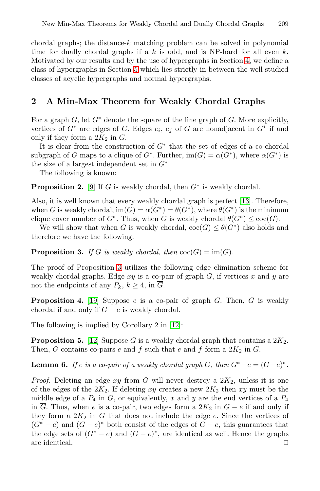chordal graphs; the distance- $k$  matching problem can be solved in polynomial time for dually chordal graphs if a k is odd, and is NP-hard for all even k. Motivated by our results and by the use of hypergraphs in Section 4, we define a class of hypergraphs in Section 5 which lies strictly in between the well studied classes of acyclic hypergraphs and normal hypergraphs.

### <span id="page-2-4"></span>**2 A Min-Max Theorem for Weakly Chordal Graphs**

[F](#page-11-2)or a graph G, let  $G^*$  denote the square of the line graph of G. More explicitly, vertices of  $G^*$  $G^*$  are edges of G. Edges  $e_i$ ,  $e_j$  of G are nonadjacent in  $G^*$  if and only if they form a  $2K_2$  in G.

It is clear from the construction of  $G^*$  that the set of edges of a co-chordal subgraph of G maps to a clique of  $G^*$ . Further,  $\text{im}(G) = \alpha(G^*)$ , where  $\alpha(G^*)$  is the size of a largest independent set in  $G^*$ .

The following is known:

<span id="page-2-0"></span>**Proposition 2.** [9] If G is weakly chordal, then  $G^*$  is weakly chordal.

Also, it [is](#page-2-0) well known that every weakly chordal graph is perfect [13]. Therefore, when G is weakly chordal,  $\text{im}(G) = \alpha(G^*) = \theta(G^*)$ , where  $\theta(G^*)$  is the minimum clique cover number of  $G^*$ . Thus, when G is weakly chordal  $\theta(G^*) \leq \text{coc}(G)$ .

<span id="page-2-3"></span>We will show that when G is weakly chordal,  $\operatorname{coc}(G) \leq \theta(G^*)$  also holds and [th](#page-11-4)erefore we have the following:

<span id="page-2-1"></span>**Proposition 3.** *If* G *i[s we](#page-11-5)akly chordal, then*  $\operatorname{coc}(G) = \operatorname{im}(G)$ *.* 

The proof of Proposition 3 utilizes the following edge elimination scheme for [w](#page-11-5)eakly chordal graphs. Edge  $xy$  is a co-pair of graph  $G$ , if vertices x and y are not the endpoints of any  $P_k$ ,  $k \geq 4$ , in  $\overline{G}$ .

<span id="page-2-2"></span>**Proposition 4.** [19] Suppose e is a co-pair of graph G. Then, G is weakly chordal if and only if  $G - e$  is weakly chordal.

The following is implied by Corollary 2 in [12]:

**Proposition 5.** [12] Suppose G is a weakly chordal graph that contains a  $2K_2$ . Then, G contains co-pairs e and f such that e and f form a  $2K_2$  in G.

**Lemma 6.** *If*  $e$  *is a co-pair of a weakly chordal graph*  $G$ *, then*  $G^* - e = (G - e)^*$ *.* 

*Proof.* Deleting an edge  $xy$  from  $G$  will never destroy a  $2K_2$ , unless it is one of the edges of the  $2K_2$ . If deleting xy creates a new  $2K_2$  then xy must be the middle edge of a  $P_4$  in G, or equivalently, x and y are the end vertices of a  $P_4$ in  $\overline{G}$ . Thus, when e is a co-pair, two edges form a 2K<sub>2</sub> in  $G - e$  if and only if they form a  $2K_2$  in G that does not include the edge e. Since the vertices of  $(G^* - e)$  and  $(G - e)^*$  both consist of the edges of  $G - e$ , this guarantees that the edge sets of  $(G^* - e)$  and  $(G - e)^*$ , are identical as well. Hence the graphs are identical.  $\Box$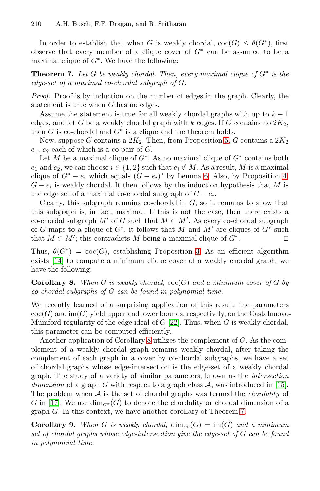<span id="page-3-1"></span>In order to establish that when G is weakly chordal,  $\operatorname{coc}(G) \leq \theta(G^*)$ , first observe that every member of a clique cover of  $G^*$  can be assumed to be a maximal clique of  $G^*$ . We have the following:

**[Th](#page-2-1)eorem 7.** Let G be weakly chordal. Then, every maximal clique of  $G^*$  is the *edge-set of a maximal co-chordal subgraph of* G*.*

*Proof.* Proof is by induction on the number of edges in the graph. Clearly, the statement is true when G has no [ed](#page-2-2)ges.

Assume the statement is true for all weakly chordal gr[aph](#page-2-3)s with up to  $k - 1$ edges, and let G be a weakly chordal graph with k edges. If G contains no  $2K_2$ , then  $G$  is co-chordal and  $G^*$  is a clique and the theorem holds.

Now, suppose G contains a  $2K_2$ . Then, from Proposition 5, G contains a  $2K_2$  $e_1, e_2$  each of which is a co-pair of  $G$ .

Let M be a maximal clique of  $G^*$ . As no maximal clique of  $G^*$  contains both  $e_1$  and  $e_2$ , we can choose  $i \in \{1,2\}$  such that  $e_i \notin M$ . As a result, M is a maximal clique of  $G^* - e_i$  which equals  $(G - e_i)^*$  by Lemma 6. Also, by Proposition 4,  $G - e_i$  is weakly chordal. It the[n](#page-2-0) follows by the induction hypothesis that M is the edge set of a maximal co-chordal subgraph of  $G - e_i$ .

<span id="page-3-0"></span>Clearly, this subgraph remains co-chordal in  $G$ , so it remains to show that this subgraph is, in fact, maximal. If this is not the case, then there exists a co-chordal subgraph  $M'$  of G such that  $M \subset M'$ . As every co-chordal subgraph of G maps to a clique of  $G^*$ , it follows that M and M' are cliques of  $G^*$  such that  $M \subset M'$ ; this contradicts M being a maximal clique of  $G^*$ .

Thus,  $\theta(G^*) = \text{coc}(G)$ [, e](#page-11-6)stablishing Proposition 3. As an efficient algorithm exists [14] to compute a minimum clique cover of a weakly chordal graph, we have the followi[ng:](#page-3-0)

### **Corollary 8.** When G is weakly chordal,  $\operatorname{ccc}(G)$  and a minimum cover of G by *co-chordal subgraphs of* G *can be found in polynomial time.*

We recently learned of a surprising application of this result: the parameters  $\operatorname{coc}(G)$  and  $\operatorname{im}(G)$  yield upper and lower bounds, respecti[vely](#page-11-7), on the Castelnuovo-Mumford regularity of the edge ideal of  $G$  [22]. Thus, when  $G$  is weakly chordal, this parameter can be computed efficiently.

Another application of Corollary 8 utilizes [th](#page-3-1)e complement of G. As the complement of a weakly chordal graph remains weakly chordal, after taking the complement of each graph in a cover by co-chordal subgraphs, we have a set of chordal graphs whose edge-intersection is the edge-set of a weakly chordal graph. The study of a variety of similar parameters, known as the *intersection dimension* of a graph G with respect to a graph class A, was introduced in [15]. The problem when A is the set of chordal graphs was termed the *chordality* of G in [17]. We use  $\dim_{\text{CH}}(G)$  to denote the chordality or chordal dimension of a graph G. In this context, we have another corollary of Theorem 7.

**Corollary 9.** When G is weakly chordal,  $\dim_{\text{CH}}(G) = \text{im}(\overline{G})$  and a minimum *set of chordal graphs whose edge-intersection give the edge-set of* G *can be found in polynomial time.*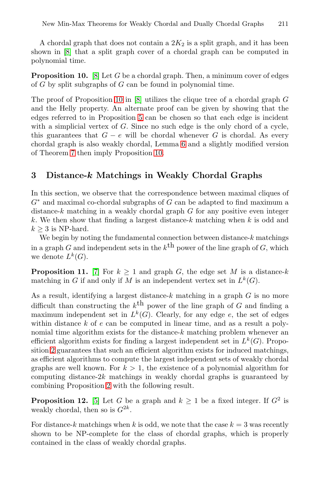<span id="page-4-1"></span>A chordal graph that does not contain a  $2K_2$  is a split graph, and it has been shown in [8] [th](#page-2-1)at a split graph cover of a chordal graph can be computed in polynomial time.

**Proposition 10.** [8] Let G [b](#page-2-2)e a chordal graph. Then, a minimum cover of edges of  $G$  by split subgr[aph](#page-4-1)s of  $G$  can be found in polynomial time.

<span id="page-4-0"></span>The proof of Proposition 10 in [8] utilizes the clique tree of a chordal graph G and the Helly property. An alternate proof can be given by showing that the edges referred to in Proposition 5 can be chosen so that each edge is incident with a simplicial vertex of  $G$ . Since no such edge is the only chord of a cycle. this guarantees that  $G - e$  will be chordal whenever G is chordal. As every chordal graph is also weakly chordal, Lemma 6 and a slightly modified version of Theorem 7 then imply Proposition 10.

### **3 Distance-***k* **Matchings in Weakly Chordal Graphs**

In this section, we observe that the correspondence between maximal cliques of  $G<sup>*</sup>$  $G<sup>*</sup>$  and maximal co-chordal subgraphs of G can be adapted to find maximum a distance- $k$  matching in a weakly chordal graph  $G$  for any positive even integer k. We then show that finding a largest distance- $k$  matching when  $k$  is odd and  $k \geq 3$  is NP-hard.

We begin by noting the fundamental connection between distance- $k$  matchings in a graph G and independent sets in the  $k^{\text{th}}$  power of the line graph of G, which we denote  $L^k(G)$ .

**Proposition 11.** [7] For  $k > 1$  and graph G, the edge set M is a distance-k matching in G if and only if M is an independent vertex set in  $L^k(G)$ .

As a result, identifying a largest distance- $k$  matching in a graph  $G$  is no more difficult than constructing the  $k^{\text{th}}$  power of the line graph of G and finding a ma[xim](#page-2-4)um independent set in  $L^k(G)$ . Clearly, for any edge e, the set of edges within distance  $k$  of  $e$  can be computed in linear time, and as a result a poly[no](#page-11-9)mial time algorithm exists for the distance- $k$  matching problem whenever an efficient algorithm exists for finding a largest independent set in  $L^k(G)$ . Proposition 2 guarantees that such an efficient algorithm exists for induced matchings, as efficient algorithms to compute the largest independent sets of weakly chordal graphs are well known. For  $k > 1$ , the existence of a polynomial algorithm for computing distance-2 $k$  matchings in weakly chordal graphs is guaranteed by combining Proposition 2 with the following result.

<span id="page-4-2"></span>**Proposition 12.** [5] Let G be a graph and  $k \geq 1$  be a fixed integer. If  $G^2$  is weakly chordal, then so is  $G^{2k}$ .

For distance-k matchings when k is odd, we note that the case  $k = 3$  was recently shown to be NP-complete for the class of chordal graphs, which is properly contained in the class of weakly chordal graphs.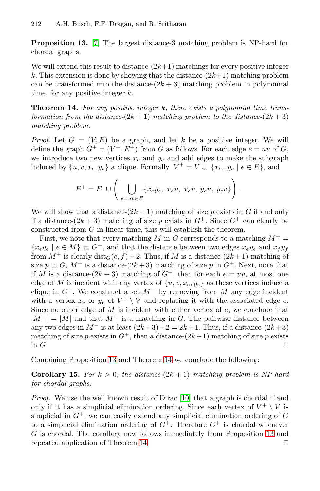<span id="page-5-0"></span>**Proposition 13.** [7] The largest distance-3 matching problem is NP-hard for chordal graphs.

We will extend this result to distance- $(2k+1)$  matchings for every positive integer k. This extension is done by showing that the distance- $(2k+1)$  matching problem can be transformed into the distance- $(2k+3)$  matching problem in polynomial time, for any positive integer  $k$ .

**Theorem 14.** *For any positive integer* k*, there exists a polynomial time transformation from the distance-* $(2k + 1)$  *matching problem to the distance-* $(2k + 3)$ *matching problem.*

*Proof.* Let  $G = (V, E)$  be a graph, and let k be a positive integer. We will define the graph  $G^+ = (V^+, E^+)$  from G as follows. For each edge  $e = uv$  of G, we introduce two new vertices  $x_e$  and  $y_e$  and add edges to make the subgraph induced by  $\{u, v, x_e, y_e\}$  a clique. Formally,  $V^+ = V \cup \{x_e, y_e \mid e \in E\}$ , and

$$
E^+ = E \cup \left( \bigcup_{e=uv \in E} \{x_e y_e, x_e u, x_e v, y_e u, y_e v\} \right).
$$

We will show that a distance- $(2k+1)$  matching of size p exists in G if and only if a distance- $(2k+3)$  matching of size p exists in  $G^+$ . Since  $G^+$  can clearly be constructed from  $G$  in linear time, this will establish the theorem.

First, we note that every matching M in G corresponds to a matching  $M^+$  =  ${x_e y_e \mid e \in M}$  in  $G^+$ , and that the distance between two edges  $x_e y_e$  and  $x_f y_f$ from  $M^+$  is clearly  $dist_G(e, f) + 2$ . Thus, if M is a distance- $(2k+1)$  matching of size p in G,  $M^+$  is a distance- $(2k+3)$  matching of size p in  $G^+$ . Next, note that if M is a distance- $(2k+3)$  matching of  $G^+$ , then for each  $e = uv$ , at most one edge of M is incident with any vertex of  $\{u, v, x_e, y_e\}$  as these vertices induce a cliq[ue in](#page-4-2)  $G^+$ . We con[stru](#page-5-0)ct a set  $M^-$  by removing from M any edge incident with a vertex  $x_e$  or  $y_e$  of  $V^+ \setminus V$  and replacing it with the associated edge e. Since no other edge of  $M$  is incident with either vertex of  $e$ , we conclude that  $|M^-| = |M|$  and that  $M^-$  is a matching in G. The pairwise distance between any two edges in  $M^-$  is at l[eas](#page-11-10)t  $(2k+3)-2=2k+1$ . Thus, if a distance- $(2k+3)$ matching of size p exists in  $G^+$ , then a distance- $(2k+1)$  matching of size p exists in  $G$ .

Combining Proposition 13 and Theorem 14 we concl[ude](#page-4-2) the following:

**Corollary 1[5.](#page-5-0)** For  $k > 0$ , the distance- $(2k + 1)$  matching problem is NP-hard *for chordal graphs.*

*Proof.* We use the well known result of Dirac [10] that a graph is chordal if and only if it has a simplicial elimination ordering. Since each vertex of  $V^+ \setminus V$  is simplicial in  $G^+$ , we can easily extend any simplicial elimination ordering of G to a simplicial elimination ordering of  $G^+$ . Therefore  $G^+$  is chordal whenever G is chordal. The corollary now follows immediately from Proposition 13 and repeated application of Theorem 14.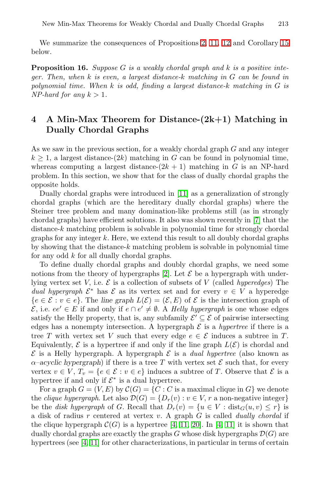<span id="page-6-0"></span>We summarize the consequences of Propositions 2, 11, 12 and Corollary 15 below.

**Proposition 16.** *Suppose* G *is a weakly chordal graph and* k *is a positive integer. Then, when* k *is even, a largest distance-*k *matching in* G *can be found in polynomial time. When* k *is odd, finding a largest distance-*k *matching in* G *is NP-hard for any*  $k > 1$ *.* 

# **4 A Min-Max Th[eor](#page-11-11)em for Distance-(2k+1) Matching in Dually Chordal Graphs**

As we saw in the previous section, for a weakly ch[or](#page-11-8)dal graph G and any integer  $k \geq 1$ , a largest distance-(2k) matching in G can be found in polynomial time, whereas computing a largest distance- $(2k + 1)$  matching in G is an NP-hard problem. In this section, we show that for the class of dually chordal graphs the opposite holds.

Dually chordal graphs were introduced in [11] as a generalization of strongly chordal graphs (whi[ch](#page-10-1) are the hereditary dually chordal graphs) where the Steiner tree problem and many domination-like problems still (as in strongly chordal graphs) have efficient solutions. It also was shown recently in [7] that the distance-k matching problem is solvable in polynomial time for strongly chordal graphs for any integer  $k$ . Here, we extend this result to all doubly chordal graphs by showing that the distance- $k$  matching problem is solvable in polynomial time for any odd  $k$  for all dually chordal graphs.

To define dually chordal graphs and doubly chordal graphs, we need some notions from the theory of hypergraphs  $[2]$ . Let  $\mathcal E$  be a hypergraph with underlying vertex set V, i.e.  $\mathcal E$  is a collection of subsets of V (called *hyperedges*) The *dual hypergraph*  $\mathcal{E}^*$  has  $\mathcal{E}$  as its vertex set and for every  $v \in V$  a hyperedge  ${e \in \mathcal{E} : v \in e}.$  The *line graph*  $L(\mathcal{E})=(\mathcal{E}, E)$  of  $\mathcal{E}$  is the intersection graph of  $\mathcal{E}$ , i.e.  $ee' \in E$  if and only if  $e \cap e' \neq \emptyset$ . A *Helly hypergraph* is one whose edges satisfy the Helly property, that is, any subfamily  $\mathcal{E}' \subseteq \mathcal{E}$  of pairwise intersecting edges has a nonempty intersection. A hypergraph  $\mathcal E$  is a *hypertree* if there is a tree T with vertex set V such that every edge  $e \in \mathcal{E}$  induces a subtree in T. Equivalently,  $\mathcal E$  is a hypertree if and only if the line graph  $L(\mathcal E)$  is chordal and  $\mathcal E$  $\mathcal E$  is a Helly hypergrap[h.](#page-10-2) [A h](#page-11-11)[ype](#page-11-12)rgra[ph](#page-10-2)  $\mathcal E$  is a *dual hypertree* (also known as  $\alpha$ –acyclic hypergraph) if there is a tree T with vertex set  $\mathcal E$  such that, for every [ve](#page-11-11)rtex  $v \in V$ ,  $T_v = \{e \in \mathcal{E} : v \in e\}$  induces a subtree of T. Observe that  $\mathcal{E}$  is a hypertree if and only if  $\mathcal{E}^*$  is a dual hypertree.

For a graph  $G = (V, E)$  by  $\mathcal{C}(G) = \{C : C$  is a maximal clique in  $G\}$  we denote the *clique hypergraph*. Let also  $\mathcal{D}(G) = \{D_r(v) : v \in V, r \text{ a non-negative integer}\}\$ be the *disk hypergraph* of G. Recall that  $D_r(v) = \{u \in V : dist_G(u, v) \leq r\}$  is a disk of radius r centered at vertex v. A graph G is called *dually chordal* if the clique hypergraph  $\mathcal{C}(G)$  is a hypertree [4, 11, 20]. In [4, 11] it is shown that dually chordal graphs are exactly the graphs G whose disk hypergraphs  $\mathcal{D}(G)$  are hypertrees (see [4, 11] for other characterizations, in particular in terms of certain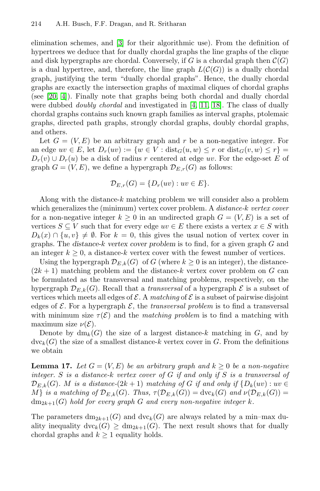elimination schemes, and [3] [for](#page-10-2) [the](#page-11-11)[ir](#page-11-13) [a](#page-11-13)lgorithmic use). From the definition of hypertrees we deduce that for dually chordal graphs the line graphs of the clique and disk hypergraphs are chordal. Conversely, if G is a chordal graph then  $\mathcal{C}(G)$ is a dual hypertree, and, therefore, the line graph  $L(\mathcal{C}(G))$  is a dually chordal graph, justifying the term "dually chordal graphs". Hence, the dually chordal graphs are exactly the intersection graphs of maximal cliques of chordal graphs (see [20, 4]). Finally note that graphs being both chordal and dually chordal were dubbed *doubly chordal* and investigated in [4, 11, 18]. The class of dually chordal graphs contains such known graph families as interval graphs, ptolemaic graphs, directed path graphs, strongly chordal graphs, doubly chordal graphs, and others.

Let  $G = (V, E)$  be an arbitrary graph and r be a non-negative integer. For an edge  $uv \in E$ , let  $D_r(uv) := \{w \in V : dist_G(u, w) \leq r \text{ or } dist_G(v, w) \leq r\}$  $D_r(v) \cup D_r(u)$  be a disk of radius r centered at edge uv. For the edge-set E of graph  $G = (V, E)$ , we define a hypergraph  $\mathcal{D}_{E,r}(G)$  as follows:

$$
\mathcal{D}_{E,r}(G) = \{D_r(uv) : uv \in E\}.
$$

Along with the distance-k matching problem we will consider also a problem which generalizes the (minimum) vertex cover problem. A *distance-*k *vertex cover* for a non-negative integer  $k \geq 0$  in an undirected graph  $G = (V, E)$  is a set of vertices  $S \subseteq V$  such that for every edge  $uv \in E$  there exists a vertex  $x \in S$  with  $D_k(x) \cap \{u, v\} \neq \emptyset$ . For  $k = 0$ , this gives the usual notion of vertex cover in graphs. The *distance-*k *vertex cover problem* is to find, for a given graph G and an integer  $k \geq 0$ , a distance-k vertex cover with the fewest number of vertices.

<span id="page-7-0"></span>Using the hypergraph  $\mathcal{D}_{E,k}(G)$  of G (where  $k \geq 0$  is an integer), the distance- $(2k+1)$  matching problem and the distance-k vertex cover problem on G can be formulated as the transversal and matching problems, respectively, on the hypergraph  $\mathcal{D}_{E,k}(G)$ . Recall that a *transversal* of a hypergraph  $\mathcal E$  is a subset of vertices which meets all edges of  $\mathcal E$ . A *matching* of  $\mathcal E$  is a subset of pairwise disjoint edges of  $\mathcal E$ . For a hypergraph  $\mathcal E$ , the *transversal problem* is to find a transversal with minimum size  $\tau(\mathcal{E})$  and the *matching problem* is to find a matching with maximum size  $\nu(\mathcal{E})$ .

Denote by  $dm_k(G)$  the size of a largest distance-k matching in G, and by  $\text{dvc}_k(G)$  the size of a smallest distance-k vertex cover in G. From the definitions we obtain

**Lemma 17.** *Let*  $G = (V, E)$  *be an arbitrary graph and*  $k \geq 0$  *be a non-negative integer.* S *is a distance-*k *vertex cover of* G *if and only if* S *is a transversal of*  $\mathcal{D}_{E,k}(G)$ *. M is a distance-*(2k + 1) *matching of G if and only if*  $\{D_k(uv): uv \in$ M} *is a matching of*  $\mathcal{D}_{E,k}(G)$ *. Thus,*  $\tau(\mathcal{D}_{E,k}(G)) = \text{dvc}_k(G)$  *and*  $\nu(\mathcal{D}_{E,k}(G)) =$  $dm_{2k+1}(G)$  *hold for every graph* G and every non-negative integer k.

The parameters  $dm_{2k+1}(G)$  and  $dvc_k(G)$  are always related by a min-max duality inequality  $\text{dvc}_k(G) \ge \text{dm}_{2k+1}(G)$ . The next result shows that for dually chordal graphs and  $k \geq 1$  equality holds.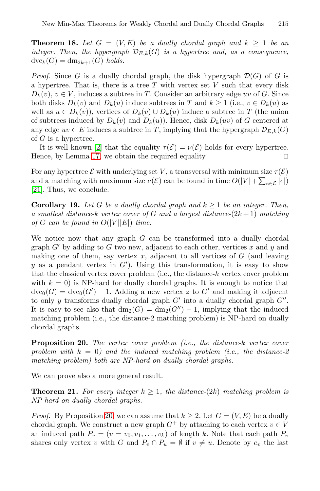**Theorem 18.** Let  $G = (V, E)$  be a dually chordal graph and  $k \geq 1$  be an *integer. Then, the hypergraph*  $\mathcal{D}_{E,k}(G)$  *is a hypertree and, as a consequence,*  $\mathrm{dvc}_k(G) = \mathrm{dm}_{2k+1}(G)$  *holds.* 

*[Pro](#page-10-1)of.* Since G is a dually chordal graph, the disk hypergraph  $\mathcal{D}(G)$  of G is [a h](#page-7-0)ypertree. That is, there is a tree  $T$  with vertex set  $V$  such that every disk  $D_k(v)$ ,  $v \in V$ , induces a subtree in T. Consider an arbitrary edge uv of G. Since both disks  $D_k(v)$  and  $D_k(u)$  induce subtrees in T and  $k \ge 1$  (i.e.,  $v \in D_k(u)$  as well as  $u \in D_k(v)$ , vertices of  $D_k(v) \cup D_k(u)$  induce a subtree in T (the union of subtrees induced by  $D_k(v)$  and  $D_k(u)$ . Hence, disk  $D_k(uv)$  of G centered at any edge  $uv \in E$  induces a subtree in T, implying that the hypergraph  $\mathcal{D}_{E,k}(G)$ of  $G$  is a hypertree.

<span id="page-8-1"></span>It is well known [2] that the equality  $\tau(\mathcal{E}) = \nu(\mathcal{E})$  holds for every hypertree. Hence, by Lemma 17, we obtain the required equality.

For any hypertree  $\mathcal E$  with underlying set V, a transversal with minimum size  $\tau(\mathcal E)$ and a matching with maximum size  $\nu(\mathcal{E})$  can be found in time  $O(|V| + \sum_{e \in \mathcal{E}} |e|)$ [21]. Thus, we conclude.

**Corollary 19.** Let G be a dually chordal graph and  $k \geq 1$  be an integer. Then, *a smallest distance-*k *vertex cover of* G *and a largest distance-*(2k + 1) *matching of*  $G$  *can be found in*  $O(|V||E|)$  *time.* 

<span id="page-8-0"></span>We notice now that any graph  $G$  can be transformed into a dually chordal graph  $G'$  by adding to G two new, adjacent to each other, vertices x and y and making one of them, say vertex  $x$ , adjacent to all vertices of  $G$  (and leaving y as a pendant vertex in  $G'$ ). Using this transformation, it is easy to show that the classical vertex cover problem (i.e., the distance-k vertex cover problem with  $k = 0$ ) is NP-hard for dually chordal graphs. It is enough to notice that  $d\nu c_0(G) = d\nu c_0(G') - 1$ . Adding a new vertex z to G' and making it adjacent to only y transforms dually chordal graph  $G'$  into a dually chordal graph  $G''$ . It is easy to see also that  $dm_2(G) = dm_2(G'') - 1$ , implying that the induced matching problem (i.e., the distance-2 matching problem) is NP-hard on dually chordal graphs.

**Proposition 20.** *The vertex cover problem (i.e., the distance-*k *vertex cover* pro[blem](#page-8-0) with  $k = 0$ ) and the induced matching problem (*i.e.*, the distance-2 *matching problem) both are NP-hard on dually chordal graphs.*

We can prove also a more general result.

**Theorem 21.** For every integer  $k \geq 1$ , the distance- $(2k)$  matching problem is *NP-hard on dually chordal graphs.*

*Proof.* By Proposition 20, we can assume that  $k > 2$ . Let  $G = (V, E)$  be a dually chordal graph. We construct a new graph  $G^+$  by attaching to each vertex  $v \in V$ an induced path  $P_v = (v = v_0, v_1, \ldots, v_k)$  of length k. Note that each path  $P_v$ shares only vertex v with G and  $P_v \cap P_u = \emptyset$  if  $v \neq u$ . Denote by  $e_v$  the last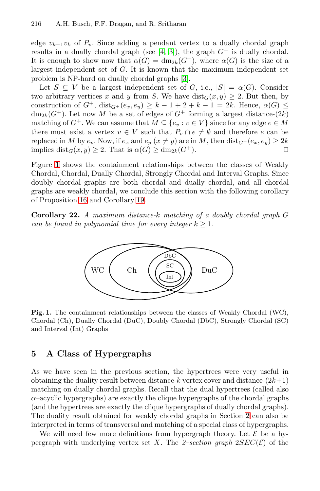edge  $v_{k-1}v_k$  of  $P_v$ . Since adding a pendant vertex to a dually chordal graph results in a dually chordal graph (see [4, 3]), the graph  $G^+$  is dually chordal. It is enough to show now that  $\alpha(G) = dm_{2k}(G^+)$ , where  $\alpha(G)$  is the size of a largest independent set of G. It is known that the maximum independent set problem is NP-hard on dually chordal graphs [3].

Let  $S \subseteq V$  be a largest independent set of G, i.e.,  $|S| = \alpha(G)$ . Consider two arbitrary vertices x and y from S. We have  $dist_G(x, y) \geq 2$ . But then, by construction of  $G^+$ ,  $dist_{G^+}(e_x, e_y) \geq k-1+2+k-1=2k$ . Hence,  $\alpha(G) \leq$  $dm_{2k}(G^+)$ . Let now M be a set of edges of  $G^+$  forming a largest distance- $(2k)$ matching of  $G^+$ . We can assume that  $M \subseteq \{e_v : v \in V\}$  since for any edge  $e \in M$ there must e[xist](#page-8-1) a vertex  $v \in V$  such that  $P_v \cap e \neq \emptyset$  and therefore e can be replaced in M by  $e_v$ . Now, if  $e_x$  and  $e_y$   $(x \neq y)$  are in M, then  $dist_{G^+}(e_x, e_y) \geq 2k$ <br>implies  $dist_G(x, y) > 2$ . That is  $\alpha(G) > dm_{\alpha'}(G^+)$ implies  $dist_G(x, y) \geq 2$ . That is  $\alpha(G) \geq dm_{2k}(G^+)$ .

Figure 1 shows the containment relationships between the classes of Weakly Chordal, Chordal, Dually Chordal, Strongly Chordal and Interval Graphs. Since doubly chordal graphs are both chordal and dually chordal, and all chordal graphs are weakly chordal, we conclude this section with the following corollary of Proposition 16 and Corollary 19.

**Corollary 22.** *A maximum distance-*k *matching of a doubly chordal graph* G *can be found in polynomial time for every integer*  $k \geq 1$ *.* 



**Fig. 1.** The containment relationships between the classes of Weakly Chordal (WC), Chordal (Ch), Dually Chordal (DuC), Doubly Chordal (DbC), Strongly Chordal (SC) and Interval (Int) Graphs

## **5 A Class of Hypergraphs**

As we have seen in the previous section, the hypertrees were very useful in obtaining the duality result between distance-k vertex cover and distance- $(2k+1)$ matching on dually chordal graphs. Recall that the dual hypertrees (called also  $\alpha$ –acyclic hypergraphs) are exactly the clique hypergraphs of the chordal graphs (and the hypertrees are exactly the clique hypergraphs of dually chordal graphs). The duality result obtained for weakly chordal graphs in Section 2 can also be interpreted in terms of transversal and matching of a special class of hypergraphs.

We will need few more definitions from hypergraph theory. Let  $\mathcal E$  be a hypergraph with underlying vertex set X. The  $2$ -section graph  $2SEC(\mathcal{E})$  of the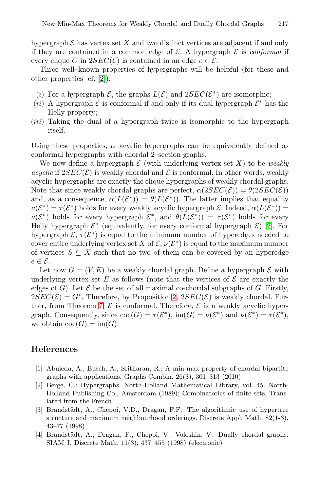hypergraph  $\mathcal E$  has vertex set X and two distinct vertices are adjacent if and only if they are contained in a common edge of  $\mathcal E$ . A hypergraph  $\mathcal E$  is *conformal* if every clique C in  $2SEC(\mathcal{E})$  is contained in an edge  $e \in \mathcal{E}$ .

Three well–known properties of hypergraphs will be helpful (for these and other properties cf. [2]).

- (i) For a hypergraph  $\mathcal{E}$ , the graphs  $L(\mathcal{E})$  and  $2SEC(\mathcal{E}^*)$  are isomorphic;
- (ii) A hypergraph  $\mathcal E$  is conformal if and only if its dual hypergraph  $\mathcal E^*$  has the Helly property;
- (iii) Taking the dual of a hypergraph twice is isomorphic to the hypergraph itself.

Using these properties,  $\alpha$ -acyclic hypergraphs can be equivalently defined as conformal hypergraphs with chordal 2–section graphs[.](#page-10-1)

We now define a hypergraph  $\mathcal E$  (with underlying vertex set X) to be *weakly acyclic* if  $2SEC(\mathcal{E})$  is weakly chordal and  $\mathcal{E}$  is conformal. In other words, weakly acyclic hypergraphs are exactly the clique hypergraphs of weakly chordal graphs. Note that since weakly chordal graphs are perfect,  $\alpha(2SEC(\mathcal{E})) = \theta(2SEC(\mathcal{E}))$ and, as a consequence,  $\alpha(L(\mathcal{E}^*)) = \theta(L(\mathcal{E}^*))$ . The latter implies that equality  $\nu(\mathcal{E}^*) = \tau(\mathcal{E}^*)$  holds for every weakly acyclic hypergraph  $\mathcal{E}$ . Indeed,  $\alpha(L(\mathcal{E}^*))$  $\nu(\mathcal{E}^*)$  holds for every hypergraph  $\mathcal{E}^*$ , and  $\theta(L(\mathcal{E}^*)) = \tau(\mathcal{E}^*)$  holds for every Helly hypergraph  $\mathcal{E}^*$  (e[qu](#page-2-4)ivalently, for every conformal hypergraph  $\mathcal{E}$ ) [2]. For h[yp](#page-3-1)ergraph  $\mathcal{E}, \tau(\mathcal{E}^*)$  is equal to the minimum number of hyperedges needed to cover entire underlying vertex set X of  $\mathcal{E}, \nu(\mathcal{E}^*)$  is equal to the maximum number of vertices  $S \subseteq X$  such that no two of them can be covered by an hyperedge  $e \in \mathcal{E}$ .

<span id="page-10-0"></span>Let now  $G = (V, E)$  be a weakly chordal graph. Define a hypergraph  $\mathcal E$  with underlying vertex set E as follows (note that the vertices of  $\mathcal E$  are exactly the edges of G). Let  $\mathcal E$  be the set of all maximal co-chordal subgraphs of G. Firstly,  $2SEC(\mathcal{E}) = G^*$ . Therefore, by Proposition 2,  $2SEC(\mathcal{E})$  is weakly chordal. Further, from Theorem 7,  $\mathcal E$  is conformal. Therefore,  $\mathcal E$  is a weakly acyclic hypergraph. Consequently, since  $\operatorname{coc}(G) = \tau(\mathcal{E}^*)$ , im $(G) = \nu(\mathcal{E}^*)$  and  $\nu(\mathcal{E}^*) = \tau(\mathcal{E}^*)$ , we obtain  $\operatorname{coc}(G) = \operatorname{im}(G)$ .

# <span id="page-10-2"></span><span id="page-10-1"></span>**References**

- [1] Abuieda, A., Busch, A., Sritharan, R.: A min-max property of chordal bipartite graphs with applications. Graphs Combin. 26(3), 301–313 (2010)
- [2] Berge, C.: Hypergraphs. North-Holland Mathematical Library, vol. 45. North-Holland Publishing Co., Amsterdam (1989); Combinatorics of finite sets, Translated from the French
- [3] Brandstädt, A., Chepoi, V.D., Dragan, F.F.: The algorithmic use of hypertree structure and maximum neighbourhood orderings. Discrete Appl. Math. 82(1-3), 43–77 (1998)
- [4] Brandstädt, A., Dragan, F., Chepoi, V., Voloshin, V.: Dually chordal graphs. SIAM J. Discrete Math. 11(3), 437–455 (1998) (electronic)